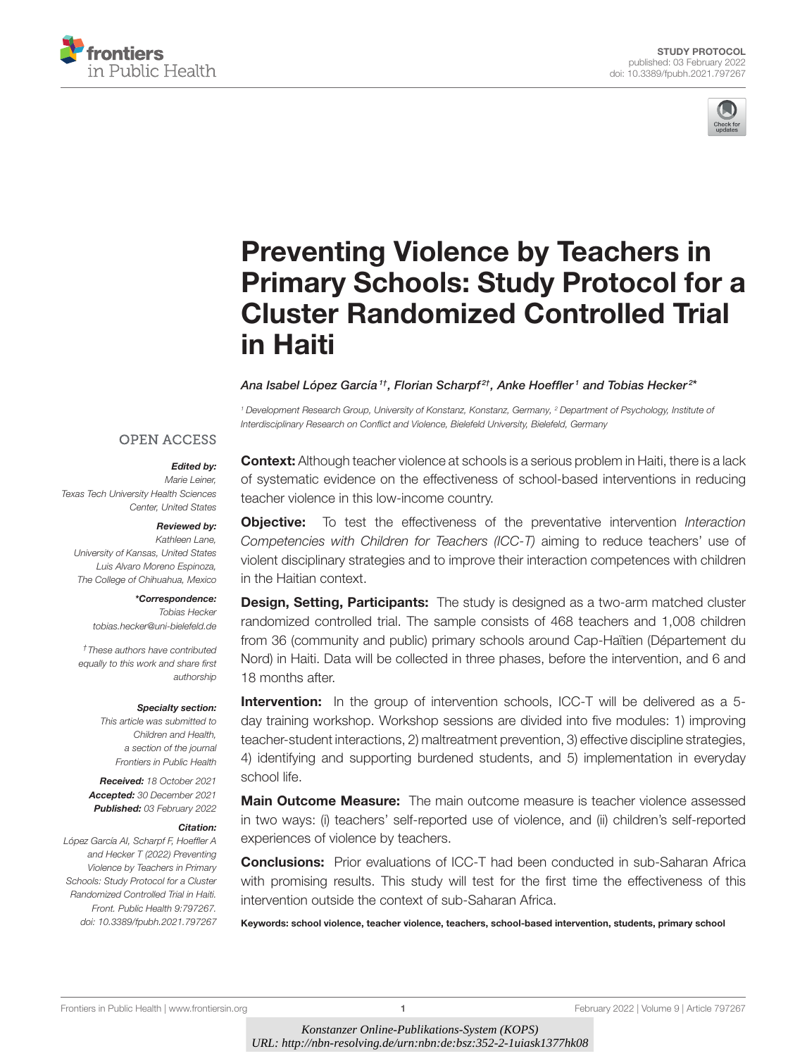



# Preventing Violence by Teachers in [Primary Schools: Study Protocol for a](https://www.frontiersin.org/articles/10.3389/fpubh.2021.797267/full) Cluster Randomized Controlled Trial in Haiti

#### Ana Isabel López García  $^{1\dagger}$ , Florian Scharpf $^{2\dagger}$ , Anke Hoeffler  $^1$  and Tobias Hecker  $^{2\dagger}$

<sup>1</sup> Development Research Group, University of Konstanz, Konstanz, Germany, <sup>2</sup> Department of Psychology, Institute of Interdisciplinary Research on Conflict and Violence, Bielefeld University, Bielefeld, Germany

#### **OPEN ACCESS**

#### Edited by:

Marie Leiner, Texas Tech University Health Sciences Center, United States

#### Reviewed by:

Kathleen Lane, University of Kansas, United States Luis Alvaro Moreno Espinoza, The College of Chihuahua, Mexico

#### \*Correspondence:

Tobias Hecker [tobias.hecker@uni-bielefeld.de](mailto:tobias.hecker@uni-bielefeld.de)

†These authors have contributed equally to this work and share first authorship

#### Specialty section:

This article was submitted to Children and Health, a section of the journal Frontiers in Public Health

Received: 18 October 2021 Accepted: 30 December 2021 Published: 03 February 2022

#### Citation:

López García AI, Scharpf F, Hoeffler A and Hecker T (2022) Preventing Violence by Teachers in Primary Schools: Study Protocol for a Cluster Randomized Controlled Trial in Haiti. Front. Public Health 9:797267. doi: [10.3389/fpubh.2021.797267](https://doi.org/10.3389/fpubh.2021.797267)

**Context:** Although teacher violence at schools is a serious problem in Haiti, there is a lack of systematic evidence on the effectiveness of school-based interventions in reducing teacher violence in this low-income country.

**Objective:** To test the effectiveness of the preventative intervention Interaction Competencies with Children for Teachers (ICC-T) aiming to reduce teachers' use of violent disciplinary strategies and to improve their interaction competences with children in the Haitian context.

**Design, Setting, Participants:** The study is designed as a two-arm matched cluster randomized controlled trial. The sample consists of 468 teachers and 1,008 children from 36 (community and public) primary schools around Cap-Haïtien (Département du Nord) in Haiti. Data will be collected in three phases, before the intervention, and 6 and 18 months after

**Intervention:** In the group of intervention schools, ICC-T will be delivered as a 5day training workshop. Workshop sessions are divided into five modules: 1) improving teacher-student interactions, 2) maltreatment prevention, 3) effective discipline strategies, 4) identifying and supporting burdened students, and 5) implementation in everyday school life.

**Main Outcome Measure:** The main outcome measure is teacher violence assessed in two ways: (i) teachers' self-reported use of violence, and (ii) children's self-reported experiences of violence by teachers.

**Conclusions:** Prior evaluations of ICC-T had been conducted in sub-Saharan Africa with promising results. This study will test for the first time the effectiveness of this intervention outside the context of sub-Saharan Africa.

Keywords: school violence, teacher violence, teachers, school-based intervention, students, primary school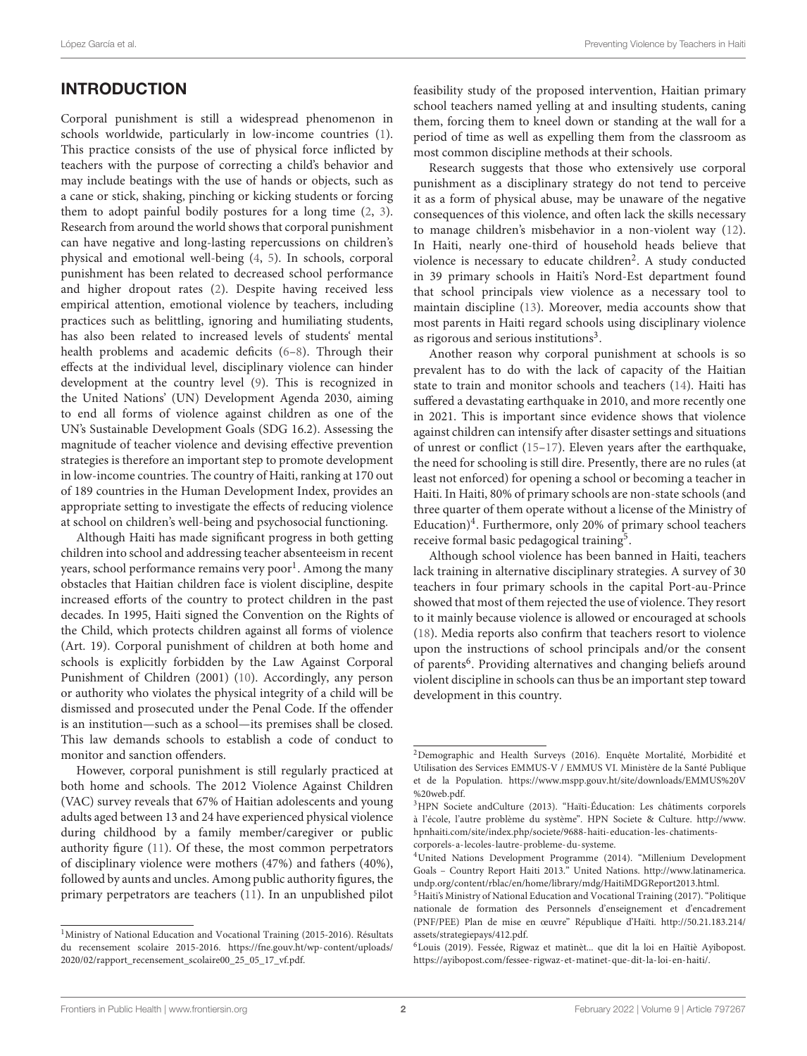# INTRODUCTION

Corporal punishment is still a widespread phenomenon in schools worldwide, particularly in low-income countries [\(1\)](#page-8-0). This practice consists of the use of physical force inflicted by teachers with the purpose of correcting a child's behavior and may include beatings with the use of hands or objects, such as a cane or stick, shaking, pinching or kicking students or forcing them to adopt painful bodily postures for a long time [\(2,](#page-8-1) [3\)](#page-8-2). Research from around the world shows that corporal punishment can have negative and long-lasting repercussions on children's physical and emotional well-being [\(4,](#page-8-3) [5\)](#page-8-4). In schools, corporal punishment has been related to decreased school performance and higher dropout rates [\(2\)](#page-8-1). Despite having received less empirical attention, emotional violence by teachers, including practices such as belittling, ignoring and humiliating students, has also been related to increased levels of students' mental health problems and academic deficits [\(6–](#page-8-5)[8\)](#page-8-6). Through their effects at the individual level, disciplinary violence can hinder development at the country level [\(9\)](#page-8-7). This is recognized in the United Nations' (UN) Development Agenda 2030, aiming to end all forms of violence against children as one of the UN's Sustainable Development Goals (SDG 16.2). Assessing the magnitude of teacher violence and devising effective prevention strategies is therefore an important step to promote development in low-income countries. The country of Haiti, ranking at 170 out of 189 countries in the Human Development Index, provides an appropriate setting to investigate the effects of reducing violence at school on children's well-being and psychosocial functioning.

Although Haiti has made significant progress in both getting children into school and addressing teacher absenteeism in recent years, school performance remains very poor<sup>[1](#page-1-0)</sup>. Among the many obstacles that Haitian children face is violent discipline, despite increased efforts of the country to protect children in the past decades. In 1995, Haiti signed the Convention on the Rights of the Child, which protects children against all forms of violence (Art. 19). Corporal punishment of children at both home and schools is explicitly forbidden by the Law Against Corporal Punishment of Children (2001) [\(10\)](#page-9-0). Accordingly, any person or authority who violates the physical integrity of a child will be dismissed and prosecuted under the Penal Code. If the offender is an institution—such as a school—its premises shall be closed. This law demands schools to establish a code of conduct to monitor and sanction offenders.

However, corporal punishment is still regularly practiced at both home and schools. The 2012 Violence Against Children (VAC) survey reveals that 67% of Haitian adolescents and young adults aged between 13 and 24 have experienced physical violence during childhood by a family member/caregiver or public authority figure [\(11\)](#page-9-1). Of these, the most common perpetrators of disciplinary violence were mothers (47%) and fathers (40%), followed by aunts and uncles. Among public authority figures, the primary perpetrators are teachers [\(11\)](#page-9-1). In an unpublished pilot feasibility study of the proposed intervention, Haitian primary school teachers named yelling at and insulting students, caning them, forcing them to kneel down or standing at the wall for a period of time as well as expelling them from the classroom as most common discipline methods at their schools.

Research suggests that those who extensively use corporal punishment as a disciplinary strategy do not tend to perceive it as a form of physical abuse, may be unaware of the negative consequences of this violence, and often lack the skills necessary to manage children's misbehavior in a non-violent way [\(12\)](#page-9-2). In Haiti, nearly one-third of household heads believe that violence is necessary to educate children<sup>[2](#page-1-1)</sup>. A study conducted in 39 primary schools in Haiti's Nord-Est department found that school principals view violence as a necessary tool to maintain discipline [\(13\)](#page-9-3). Moreover, media accounts show that most parents in Haiti regard schools using disciplinary violence as rigorous and serious institutions<sup>[3](#page-1-2)</sup>.

Another reason why corporal punishment at schools is so prevalent has to do with the lack of capacity of the Haitian state to train and monitor schools and teachers [\(14\)](#page-9-4). Haiti has suffered a devastating earthquake in 2010, and more recently one in 2021. This is important since evidence shows that violence against children can intensify after disaster settings and situations of unrest or conflict [\(15–](#page-9-5)[17\)](#page-9-6). Eleven years after the earthquake, the need for schooling is still dire. Presently, there are no rules (at least not enforced) for opening a school or becoming a teacher in Haiti. In Haiti, 80% of primary schools are non-state schools (and three quarter of them operate without a license of the Ministry of Education)<sup>[4](#page-1-3)</sup>. Furthermore, only 20% of primary school teachers receive formal basic pedagogical training<sup>[5](#page-1-4)</sup>.

Although school violence has been banned in Haiti, teachers lack training in alternative disciplinary strategies. A survey of 30 teachers in four primary schools in the capital Port-au-Prince showed that most of them rejected the use of violence. They resort to it mainly because violence is allowed or encouraged at schools [\(18\)](#page-9-7). Media reports also confirm that teachers resort to violence upon the instructions of school principals and/or the consent of parents<sup>[6](#page-1-5)</sup>. Providing alternatives and changing beliefs around violent discipline in schools can thus be an important step toward development in this country.

<span id="page-1-0"></span><sup>&</sup>lt;sup>1</sup>Ministry of National Education and Vocational Training (2015-2016). Résultats du recensement scolaire 2015-2016. [https://fne.gouv.ht/wp-content/uploads/](https://fne.gouv.ht/wp-content/uploads/2020/02/rapport_recensement_scolaire00_25_05_17_vf.pdf) [2020/02/rapport\\_recensement\\_scolaire00\\_25\\_05\\_17\\_vf.pdf.](https://fne.gouv.ht/wp-content/uploads/2020/02/rapport_recensement_scolaire00_25_05_17_vf.pdf)

<span id="page-1-1"></span><sup>2</sup>Demographic and Health Surveys (2016). Enquête Mortalité, Morbidité et Utilisation des Services EMMUS-V / EMMUS VI. Ministère de la Santé Publique et de la Population. [https://www.mspp.gouv.ht/site/downloads/EMMUS%20V](https://www.mspp.gouv.ht/site/downloads/EMMUS%20V%20web.pdf) [%20web.pdf.](https://www.mspp.gouv.ht/site/downloads/EMMUS%20V%20web.pdf)

<span id="page-1-2"></span><sup>3</sup>HPN Societe andCulture (2013). "Haïti-Éducation: Les châtiments corporels à l'école, l'autre problème du système". HPN Societe & Culture. [http://www.](http://www.hpnhaiti.com/site/index.php/societe/9688-haiti-education-les-chatiments-corporels-a-lecoles-lautre-probleme-du-systeme) [hpnhaiti.com/site/index.php/societe/9688-haiti-education-les-chatiments](http://www.hpnhaiti.com/site/index.php/societe/9688-haiti-education-les-chatiments-corporels-a-lecoles-lautre-probleme-du-systeme)[corporels-a-lecoles-lautre-probleme-du-systeme.](http://www.hpnhaiti.com/site/index.php/societe/9688-haiti-education-les-chatiments-corporels-a-lecoles-lautre-probleme-du-systeme)

<span id="page-1-3"></span><sup>4</sup>United Nations Development Programme (2014). "Millenium Development Goals – Country Report Haiti 2013." United Nations. [http://www.latinamerica.](http://www.latinamerica.undp.org/content/rblac/en/home/library/mdg/HaitiMDGReport2013.html) [undp.org/content/rblac/en/home/library/mdg/HaitiMDGReport2013.html.](http://www.latinamerica.undp.org/content/rblac/en/home/library/mdg/HaitiMDGReport2013.html)

<span id="page-1-4"></span><sup>5</sup>Haiti's Ministry of National Education and Vocational Training (2017). "Politique nationale de formation des Personnels d'enseignement et d'encadrement (PNF/PEE) Plan de mise en œuvre" République d'Haïti. [http://50.21.183.214/](http://50.21.183.214/assets/strategiepays/412.pdf) [assets/strategiepays/412.pdf.](http://50.21.183.214/assets/strategiepays/412.pdf)

<span id="page-1-5"></span><sup>6</sup>Louis (2019). Fessée, Rigwaz et matinèt... que dit la loi en Haïtiè Ayibopost. [https://ayibopost.com/fessee-rigwaz-et-matinet-que-dit-la-loi-en-haiti/.](https://ayibopost.com/fessee-rigwaz-et-matinet-que-dit-la-loi-en-haiti/)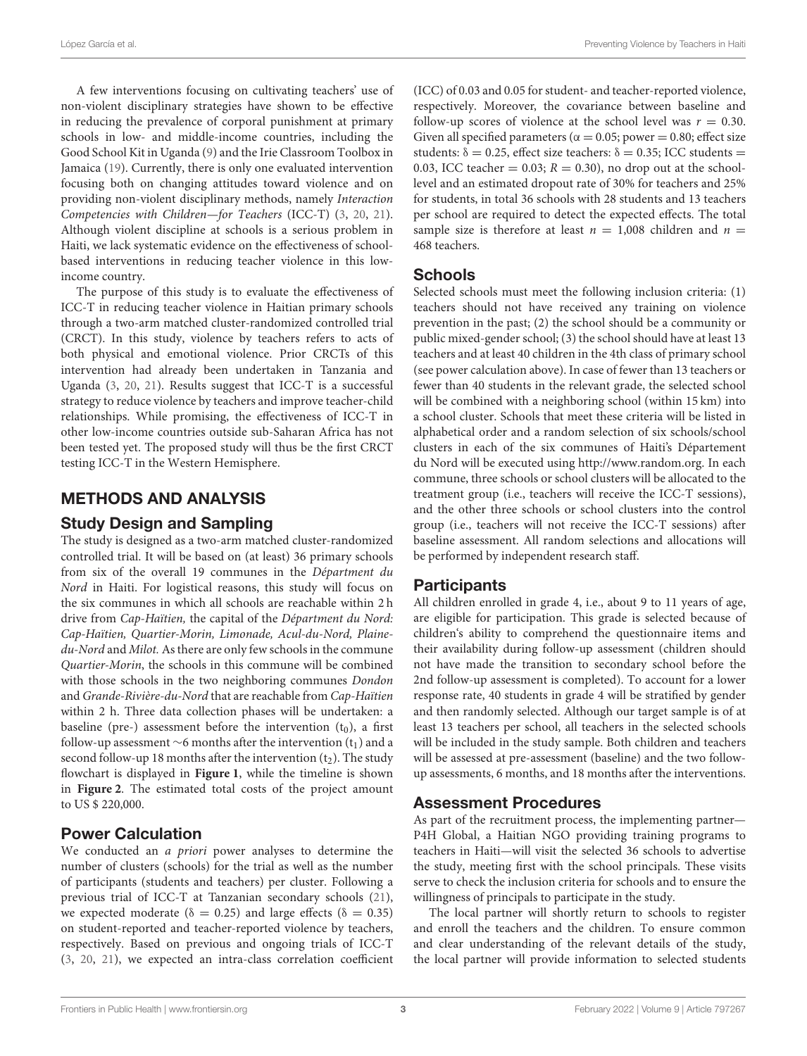A few interventions focusing on cultivating teachers' use of non-violent disciplinary strategies have shown to be effective in reducing the prevalence of corporal punishment at primary schools in low- and middle-income countries, including the Good School Kit in Uganda [\(9\)](#page-8-7) and the Irie Classroom Toolbox in Jamaica [\(19\)](#page-9-8). Currently, there is only one evaluated intervention focusing both on changing attitudes toward violence and on providing non-violent disciplinary methods, namely Interaction Competencies with Children—for Teachers (ICC-T) [\(3,](#page-8-2) [20,](#page-9-9) [21\)](#page-9-10). Although violent discipline at schools is a serious problem in Haiti, we lack systematic evidence on the effectiveness of schoolbased interventions in reducing teacher violence in this lowincome country.

The purpose of this study is to evaluate the effectiveness of ICC-T in reducing teacher violence in Haitian primary schools through a two-arm matched cluster-randomized controlled trial (CRCT). In this study, violence by teachers refers to acts of both physical and emotional violence. Prior CRCTs of this intervention had already been undertaken in Tanzania and Uganda [\(3,](#page-8-2) [20,](#page-9-9) [21\)](#page-9-10). Results suggest that ICC-T is a successful strategy to reduce violence by teachers and improve teacher-child relationships. While promising, the effectiveness of ICC-T in other low-income countries outside sub-Saharan Africa has not been tested yet. The proposed study will thus be the first CRCT testing ICC-T in the Western Hemisphere.

# METHODS AND ANALYSIS

### Study Design and Sampling

The study is designed as a two-arm matched cluster-randomized controlled trial. It will be based on (at least) 36 primary schools from six of the overall 19 communes in the Départment du Nord in Haiti. For logistical reasons, this study will focus on the six communes in which all schools are reachable within 2 h drive from Cap-Haïtien, the capital of the Départment du Nord: Cap-Haïtien, Quartier-Morin, Limonade, Acul-du-Nord, Plainedu-Nord and Milot. As there are only few schools in the commune Quartier-Morin, the schools in this commune will be combined with those schools in the two neighboring communes Dondon and Grande-Rivière-du-Nord that are reachable from Cap-Haïtien within 2 h. Three data collection phases will be undertaken: a baseline (pre-) assessment before the intervention  $(t_0)$ , a first follow-up assessment ∼6 months after the intervention  $(t_1)$  and a second follow-up 18 months after the intervention  $(t_2)$ . The study flowchart is displayed in **[Figure 1](#page-3-0)**, while the timeline is shown in **[Figure 2](#page-4-0)**. The estimated total costs of the project amount to US \$ 220,000.

# Power Calculation

We conducted an *a priori* power analyses to determine the number of clusters (schools) for the trial as well as the number of participants (students and teachers) per cluster. Following a previous trial of ICC-T at Tanzanian secondary schools [\(21\)](#page-9-10), we expected moderate ( $\delta = 0.25$ ) and large effects ( $\delta = 0.35$ ) on student-reported and teacher-reported violence by teachers, respectively. Based on previous and ongoing trials of ICC-T [\(3,](#page-8-2) [20,](#page-9-9) [21\)](#page-9-10), we expected an intra-class correlation coefficient (ICC) of 0.03 and 0.05 for student- and teacher-reported violence, respectively. Moreover, the covariance between baseline and follow-up scores of violence at the school level was  $r = 0.30$ . Given all specified parameters ( $\alpha = 0.05$ ; power = 0.80; effect size students:  $\delta = 0.25$ , effect size teachers:  $\delta = 0.35$ ; ICC students = 0.03, ICC teacher = 0.03;  $R = 0.30$ ), no drop out at the schoollevel and an estimated dropout rate of 30% for teachers and 25% for students, in total 36 schools with 28 students and 13 teachers per school are required to detect the expected effects. The total sample size is therefore at least  $n = 1,008$  children and  $n =$ 468 teachers.

### **Schools**

Selected schools must meet the following inclusion criteria: (1) teachers should not have received any training on violence prevention in the past; (2) the school should be a community or public mixed-gender school; (3) the school should have at least 13 teachers and at least 40 children in the 4th class of primary school (see power calculation above). In case of fewer than 13 teachers or fewer than 40 students in the relevant grade, the selected school will be combined with a neighboring school (within 15 km) into a school cluster. Schools that meet these criteria will be listed in alphabetical order and a random selection of six schools/school clusters in each of the six communes of Haiti's Département du Nord will be executed using [http://www.random.org.](http://www.random.org) In each commune, three schools or school clusters will be allocated to the treatment group (i.e., teachers will receive the ICC-T sessions), and the other three schools or school clusters into the control group (i.e., teachers will not receive the ICC-T sessions) after baseline assessment. All random selections and allocations will be performed by independent research staff.

# Participants

All children enrolled in grade 4, i.e., about 9 to 11 years of age, are eligible for participation. This grade is selected because of children's ability to comprehend the questionnaire items and their availability during follow-up assessment (children should not have made the transition to secondary school before the 2nd follow-up assessment is completed). To account for a lower response rate, 40 students in grade 4 will be stratified by gender and then randomly selected. Although our target sample is of at least 13 teachers per school, all teachers in the selected schools will be included in the study sample. Both children and teachers will be assessed at pre-assessment (baseline) and the two followup assessments, 6 months, and 18 months after the interventions.

# Assessment Procedures

As part of the recruitment process, the implementing partner— P4H Global, a Haitian NGO providing training programs to teachers in Haiti—will visit the selected 36 schools to advertise the study, meeting first with the school principals. These visits serve to check the inclusion criteria for schools and to ensure the willingness of principals to participate in the study.

The local partner will shortly return to schools to register and enroll the teachers and the children. To ensure common and clear understanding of the relevant details of the study, the local partner will provide information to selected students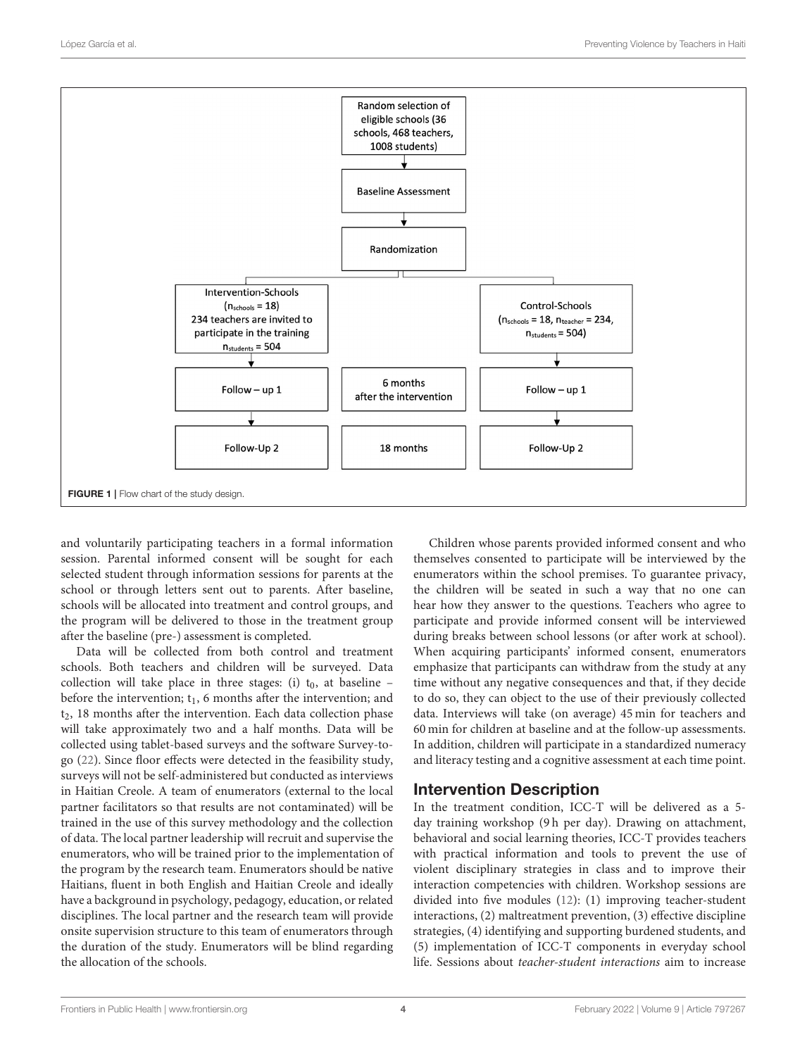

<span id="page-3-0"></span>and voluntarily participating teachers in a formal information session. Parental informed consent will be sought for each selected student through information sessions for parents at the school or through letters sent out to parents. After baseline, schools will be allocated into treatment and control groups, and the program will be delivered to those in the treatment group after the baseline (pre-) assessment is completed.

Data will be collected from both control and treatment schools. Both teachers and children will be surveyed. Data collection will take place in three stages: (i)  $t_0$ , at baseline – before the intervention;  $t_1$ , 6 months after the intervention; and  $t<sub>2</sub>$ , 18 months after the intervention. Each data collection phase will take approximately two and a half months. Data will be collected using tablet-based surveys and the software Survey-togo [\(22\)](#page-9-11). Since floor effects were detected in the feasibility study, surveys will not be self-administered but conducted as interviews in Haitian Creole. A team of enumerators (external to the local partner facilitators so that results are not contaminated) will be trained in the use of this survey methodology and the collection of data. The local partner leadership will recruit and supervise the enumerators, who will be trained prior to the implementation of the program by the research team. Enumerators should be native Haitians, fluent in both English and Haitian Creole and ideally have a background in psychology, pedagogy, education, or related disciplines. The local partner and the research team will provide onsite supervision structure to this team of enumerators through the duration of the study. Enumerators will be blind regarding the allocation of the schools.

Children whose parents provided informed consent and who themselves consented to participate will be interviewed by the enumerators within the school premises. To guarantee privacy, the children will be seated in such a way that no one can hear how they answer to the questions. Teachers who agree to participate and provide informed consent will be interviewed during breaks between school lessons (or after work at school). When acquiring participants' informed consent, enumerators emphasize that participants can withdraw from the study at any time without any negative consequences and that, if they decide to do so, they can object to the use of their previously collected data. Interviews will take (on average) 45 min for teachers and 60 min for children at baseline and at the follow-up assessments. In addition, children will participate in a standardized numeracy and literacy testing and a cognitive assessment at each time point.

### Intervention Description

In the treatment condition, ICC-T will be delivered as a 5 day training workshop (9 h per day). Drawing on attachment, behavioral and social learning theories, ICC-T provides teachers with practical information and tools to prevent the use of violent disciplinary strategies in class and to improve their interaction competencies with children. Workshop sessions are divided into five modules [\(12\)](#page-9-2): (1) improving teacher-student interactions, (2) maltreatment prevention, (3) effective discipline strategies, (4) identifying and supporting burdened students, and (5) implementation of ICC-T components in everyday school life. Sessions about teacher-student interactions aim to increase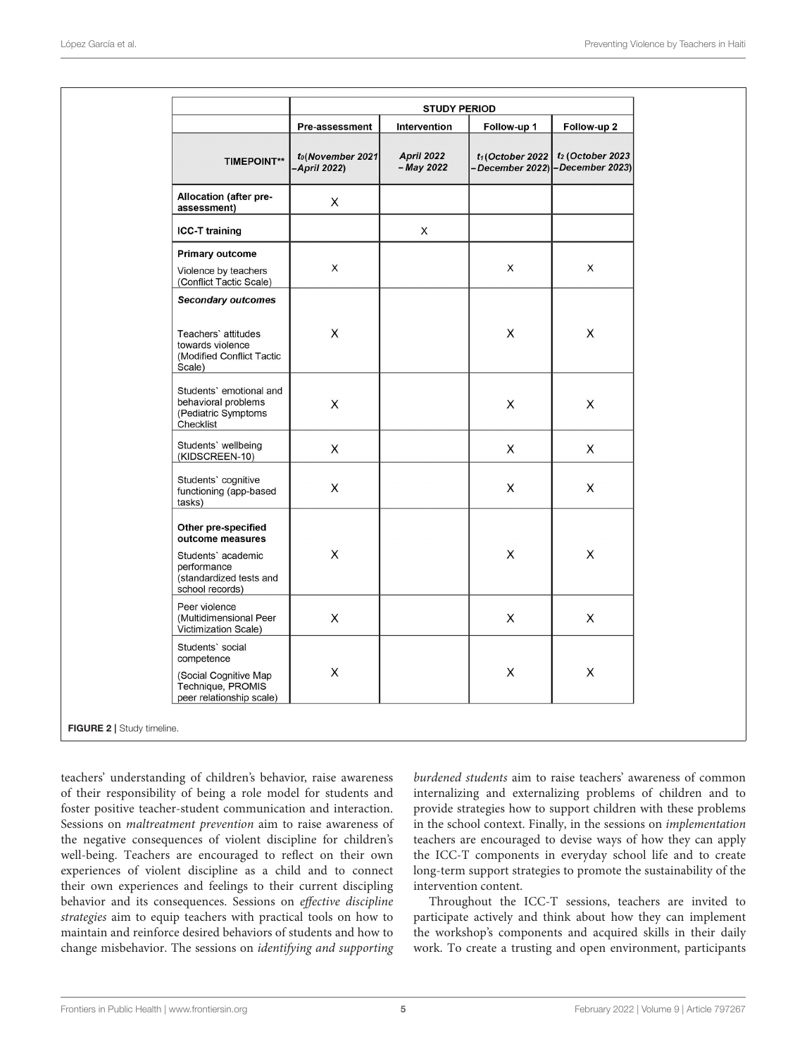|                                                                                                                            | <b>STUDY PERIOD</b>              |                                 |                                                         |                     |
|----------------------------------------------------------------------------------------------------------------------------|----------------------------------|---------------------------------|---------------------------------------------------------|---------------------|
|                                                                                                                            | Pre-assessment                   | Intervention                    | Follow-up 1                                             | Follow-up 2         |
| <b>TIMEPOINT**</b>                                                                                                         | to(November 2021<br>-April 2022) | <b>April 2022</b><br>- May 2022 | $t_1$ (October 2022<br>-December 2022) - December 2023) | $t_2$ (October 2023 |
| Allocation (after pre-<br>assessment)                                                                                      | X                                |                                 |                                                         |                     |
| <b>ICC-T training</b>                                                                                                      |                                  | X                               |                                                         |                     |
| <b>Primary outcome</b><br>Violence by teachers<br>(Conflict Tactic Scale)                                                  | X                                |                                 | X                                                       | X                   |
| <b>Secondary outcomes</b><br>Teachers' attitudes<br>towards violence<br>(Modified Conflict Tactic<br>Scale)                | $\pmb{\times}$                   |                                 | X                                                       | $\mathsf X$         |
| Students' emotional and<br>behavioral problems<br>(Pediatric Symptoms<br>Checklist                                         | $\pmb{\times}$                   |                                 | X                                                       | $\mathsf X$         |
| Students' wellbeing<br>(KIDSCREEN-10)                                                                                      | $\mathsf X$                      |                                 | X                                                       | X                   |
| Students' cognitive<br>functioning (app-based<br>tasks)                                                                    | X                                |                                 | X                                                       | X                   |
| Other pre-specified<br>outcome measures<br>Students' academic<br>performance<br>(standardized tests and<br>school records) | X                                |                                 | X                                                       | X                   |
| Peer violence<br>(Multidimensional Peer<br>Victimization Scale)                                                            | $\boldsymbol{\mathsf{X}}$        |                                 | X                                                       | X                   |
| Students' social<br>competence<br>(Social Cognitive Map<br>Technique, PROMIS<br>peer relationship scale)                   | $\pmb{\times}$                   |                                 | X                                                       | $\mathsf X$         |

<span id="page-4-0"></span>teachers' understanding of children's behavior, raise awareness of their responsibility of being a role model for students and foster positive teacher-student communication and interaction. Sessions on maltreatment prevention aim to raise awareness of the negative consequences of violent discipline for children's well-being. Teachers are encouraged to reflect on their own experiences of violent discipline as a child and to connect their own experiences and feelings to their current discipling behavior and its consequences. Sessions on effective discipline strategies aim to equip teachers with practical tools on how to maintain and reinforce desired behaviors of students and how to change misbehavior. The sessions on identifying and supporting

burdened students aim to raise teachers' awareness of common internalizing and externalizing problems of children and to provide strategies how to support children with these problems in the school context. Finally, in the sessions on implementation teachers are encouraged to devise ways of how they can apply the ICC-T components in everyday school life and to create long-term support strategies to promote the sustainability of the intervention content.

Throughout the ICC-T sessions, teachers are invited to participate actively and think about how they can implement the workshop's components and acquired skills in their daily work. To create a trusting and open environment, participants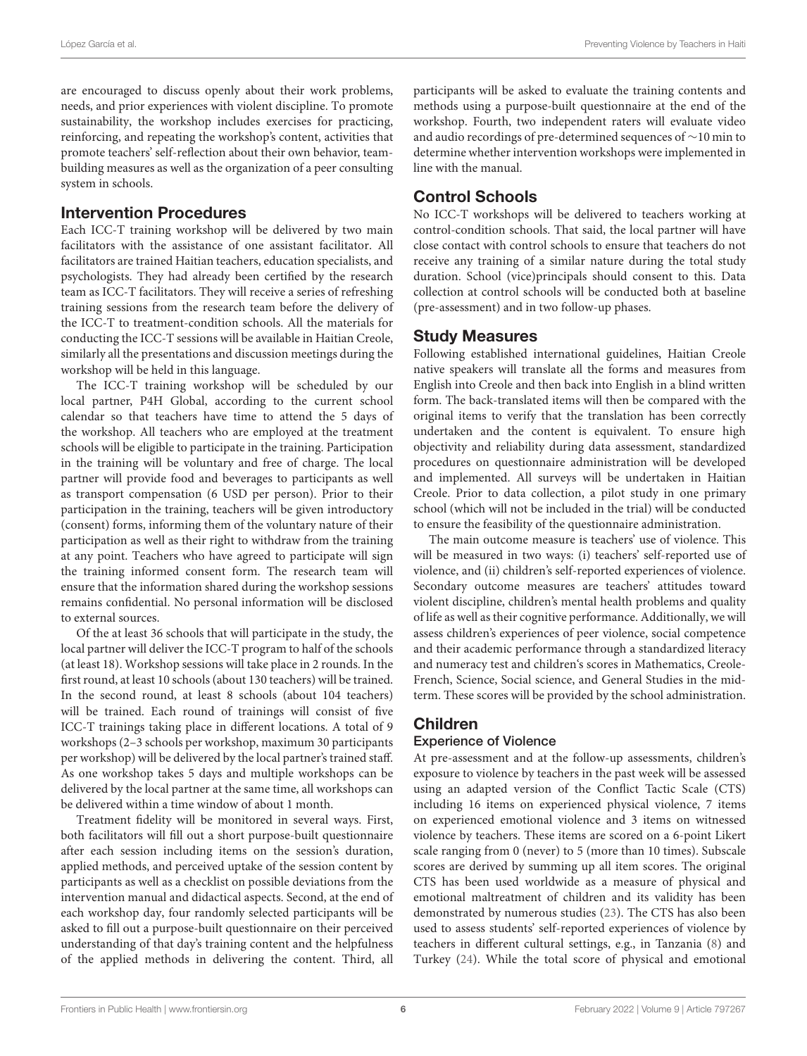are encouraged to discuss openly about their work problems, needs, and prior experiences with violent discipline. To promote sustainability, the workshop includes exercises for practicing, reinforcing, and repeating the workshop's content, activities that promote teachers' self-reflection about their own behavior, teambuilding measures as well as the organization of a peer consulting system in schools.

### Intervention Procedures

Each ICC-T training workshop will be delivered by two main facilitators with the assistance of one assistant facilitator. All facilitators are trained Haitian teachers, education specialists, and psychologists. They had already been certified by the research team as ICC-T facilitators. They will receive a series of refreshing training sessions from the research team before the delivery of the ICC-T to treatment-condition schools. All the materials for conducting the ICC-T sessions will be available in Haitian Creole, similarly all the presentations and discussion meetings during the workshop will be held in this language.

The ICC-T training workshop will be scheduled by our local partner, P4H Global, according to the current school calendar so that teachers have time to attend the 5 days of the workshop. All teachers who are employed at the treatment schools will be eligible to participate in the training. Participation in the training will be voluntary and free of charge. The local partner will provide food and beverages to participants as well as transport compensation (6 USD per person). Prior to their participation in the training, teachers will be given introductory (consent) forms, informing them of the voluntary nature of their participation as well as their right to withdraw from the training at any point. Teachers who have agreed to participate will sign the training informed consent form. The research team will ensure that the information shared during the workshop sessions remains confidential. No personal information will be disclosed to external sources.

Of the at least 36 schools that will participate in the study, the local partner will deliver the ICC-T program to half of the schools (at least 18). Workshop sessions will take place in 2 rounds. In the first round, at least 10 schools (about 130 teachers) will be trained. In the second round, at least 8 schools (about 104 teachers) will be trained. Each round of trainings will consist of five ICC-T trainings taking place in different locations. A total of 9 workshops (2–3 schools per workshop, maximum 30 participants per workshop) will be delivered by the local partner's trained staff. As one workshop takes 5 days and multiple workshops can be delivered by the local partner at the same time, all workshops can be delivered within a time window of about 1 month.

Treatment fidelity will be monitored in several ways. First, both facilitators will fill out a short purpose-built questionnaire after each session including items on the session's duration, applied methods, and perceived uptake of the session content by participants as well as a checklist on possible deviations from the intervention manual and didactical aspects. Second, at the end of each workshop day, four randomly selected participants will be asked to fill out a purpose-built questionnaire on their perceived understanding of that day's training content and the helpfulness of the applied methods in delivering the content. Third, all participants will be asked to evaluate the training contents and methods using a purpose-built questionnaire at the end of the workshop. Fourth, two independent raters will evaluate video and audio recordings of pre-determined sequences of ∼10 min to determine whether intervention workshops were implemented in line with the manual.

### Control Schools

No ICC-T workshops will be delivered to teachers working at control-condition schools. That said, the local partner will have close contact with control schools to ensure that teachers do not receive any training of a similar nature during the total study duration. School (vice)principals should consent to this. Data collection at control schools will be conducted both at baseline (pre-assessment) and in two follow-up phases.

### Study Measures

Following established international guidelines, Haitian Creole native speakers will translate all the forms and measures from English into Creole and then back into English in a blind written form. The back-translated items will then be compared with the original items to verify that the translation has been correctly undertaken and the content is equivalent. To ensure high objectivity and reliability during data assessment, standardized procedures on questionnaire administration will be developed and implemented. All surveys will be undertaken in Haitian Creole. Prior to data collection, a pilot study in one primary school (which will not be included in the trial) will be conducted to ensure the feasibility of the questionnaire administration.

The main outcome measure is teachers' use of violence. This will be measured in two ways: (i) teachers' self-reported use of violence, and (ii) children's self-reported experiences of violence. Secondary outcome measures are teachers' attitudes toward violent discipline, children's mental health problems and quality of life as well as their cognitive performance. Additionally, we will assess children's experiences of peer violence, social competence and their academic performance through a standardized literacy and numeracy test and children's scores in Mathematics, Creole-French, Science, Social science, and General Studies in the midterm. These scores will be provided by the school administration.

# Children

### Experience of Violence

At pre-assessment and at the follow-up assessments, children's exposure to violence by teachers in the past week will be assessed using an adapted version of the Conflict Tactic Scale (CTS) including 16 items on experienced physical violence, 7 items on experienced emotional violence and 3 items on witnessed violence by teachers. These items are scored on a 6-point Likert scale ranging from 0 (never) to 5 (more than 10 times). Subscale scores are derived by summing up all item scores. The original CTS has been used worldwide as a measure of physical and emotional maltreatment of children and its validity has been demonstrated by numerous studies [\(23\)](#page-9-12). The CTS has also been used to assess students' self-reported experiences of violence by teachers in different cultural settings, e.g., in Tanzania [\(8\)](#page-8-6) and Turkey [\(24\)](#page-9-13). While the total score of physical and emotional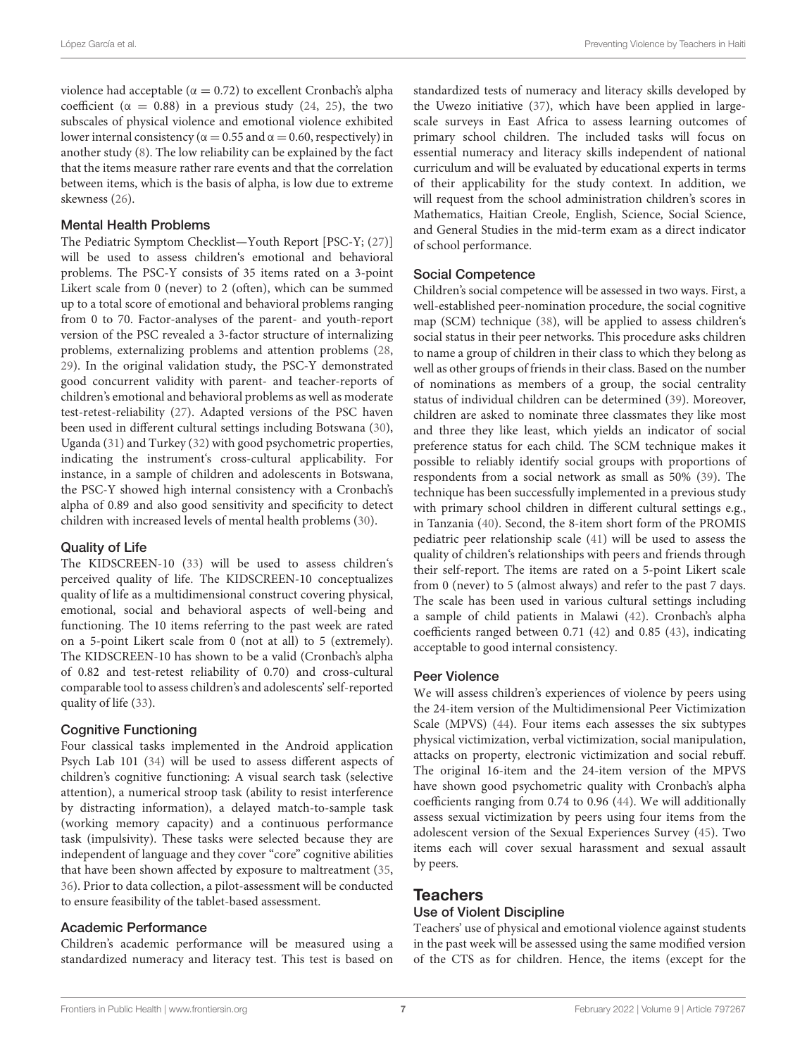violence had acceptable ( $α = 0.72$ ) to excellent Cronbach's alpha coefficient ( $\alpha = 0.88$ ) in a previous study [\(24,](#page-9-13) [25\)](#page-9-14), the two subscales of physical violence and emotional violence exhibited lower internal consistency ( $α = 0.55$  and  $α = 0.60$ , respectively) in another study [\(8\)](#page-8-6). The low reliability can be explained by the fact that the items measure rather rare events and that the correlation between items, which is the basis of alpha, is low due to extreme skewness [\(26\)](#page-9-15).

#### Mental Health Problems

The Pediatric Symptom Checklist—Youth Report [PSC-Y; [\(27\)](#page-9-16)] will be used to assess children's emotional and behavioral problems. The PSC-Y consists of 35 items rated on a 3-point Likert scale from 0 (never) to 2 (often), which can be summed up to a total score of emotional and behavioral problems ranging from 0 to 70. Factor-analyses of the parent- and youth-report version of the PSC revealed a 3-factor structure of internalizing problems, externalizing problems and attention problems [\(28,](#page-9-17) [29\)](#page-9-18). In the original validation study, the PSC-Y demonstrated good concurrent validity with parent- and teacher-reports of children's emotional and behavioral problems as well as moderate test-retest-reliability [\(27\)](#page-9-16). Adapted versions of the PSC haven been used in different cultural settings including Botswana [\(30\)](#page-9-19), Uganda [\(31\)](#page-9-20) and Turkey [\(32\)](#page-9-21) with good psychometric properties, indicating the instrument's cross-cultural applicability. For instance, in a sample of children and adolescents in Botswana, the PSC-Y showed high internal consistency with a Cronbach's alpha of 0.89 and also good sensitivity and specificity to detect children with increased levels of mental health problems [\(30\)](#page-9-19).

#### Quality of Life

The KIDSCREEN-10 [\(33\)](#page-9-22) will be used to assess children's perceived quality of life. The KIDSCREEN-10 conceptualizes quality of life as a multidimensional construct covering physical, emotional, social and behavioral aspects of well-being and functioning. The 10 items referring to the past week are rated on a 5-point Likert scale from 0 (not at all) to 5 (extremely). The KIDSCREEN-10 has shown to be a valid (Cronbach's alpha of 0.82 and test-retest reliability of 0.70) and cross-cultural comparable tool to assess children's and adolescents' self-reported quality of life [\(33\)](#page-9-22).

#### Cognitive Functioning

Four classical tasks implemented in the Android application Psych Lab 101 [\(34\)](#page-9-23) will be used to assess different aspects of children's cognitive functioning: A visual search task (selective attention), a numerical stroop task (ability to resist interference by distracting information), a delayed match-to-sample task (working memory capacity) and a continuous performance task (impulsivity). These tasks were selected because they are independent of language and they cover "core" cognitive abilities that have been shown affected by exposure to maltreatment [\(35,](#page-9-24) [36\)](#page-9-25). Prior to data collection, a pilot-assessment will be conducted to ensure feasibility of the tablet-based assessment.

#### Academic Performance

Children's academic performance will be measured using a standardized numeracy and literacy test. This test is based on standardized tests of numeracy and literacy skills developed by the Uwezo initiative [\(37\)](#page-9-26), which have been applied in largescale surveys in East Africa to assess learning outcomes of primary school children. The included tasks will focus on essential numeracy and literacy skills independent of national curriculum and will be evaluated by educational experts in terms of their applicability for the study context. In addition, we will request from the school administration children's scores in Mathematics, Haitian Creole, English, Science, Social Science, and General Studies in the mid-term exam as a direct indicator of school performance.

#### Social Competence

Children's social competence will be assessed in two ways. First, a well-established peer-nomination procedure, the social cognitive map (SCM) technique [\(38\)](#page-9-27), will be applied to assess children's social status in their peer networks. This procedure asks children to name a group of children in their class to which they belong as well as other groups of friends in their class. Based on the number of nominations as members of a group, the social centrality status of individual children can be determined [\(39\)](#page-9-28). Moreover, children are asked to nominate three classmates they like most and three they like least, which yields an indicator of social preference status for each child. The SCM technique makes it possible to reliably identify social groups with proportions of respondents from a social network as small as 50% [\(39\)](#page-9-28). The technique has been successfully implemented in a previous study with primary school children in different cultural settings e.g., in Tanzania [\(40\)](#page-9-29). Second, the 8-item short form of the PROMIS pediatric peer relationship scale [\(41\)](#page-9-30) will be used to assess the quality of children's relationships with peers and friends through their self-report. The items are rated on a 5-point Likert scale from 0 (never) to 5 (almost always) and refer to the past 7 days. The scale has been used in various cultural settings including a sample of child patients in Malawi [\(42\)](#page-9-31). Cronbach's alpha coefficients ranged between 0.71 [\(42\)](#page-9-31) and 0.85 [\(43\)](#page-9-32), indicating acceptable to good internal consistency.

#### Peer Violence

We will assess children's experiences of violence by peers using the 24-item version of the Multidimensional Peer Victimization Scale (MPVS) [\(44\)](#page-9-33). Four items each assesses the six subtypes physical victimization, verbal victimization, social manipulation, attacks on property, electronic victimization and social rebuff. The original 16-item and the 24-item version of the MPVS have shown good psychometric quality with Cronbach's alpha coefficients ranging from 0.74 to 0.96 [\(44\)](#page-9-33). We will additionally assess sexual victimization by peers using four items from the adolescent version of the Sexual Experiences Survey [\(45\)](#page-9-34). Two items each will cover sexual harassment and sexual assault by peers.

#### **Teachers**

#### Use of Violent Discipline

Teachers' use of physical and emotional violence against students in the past week will be assessed using the same modified version of the CTS as for children. Hence, the items (except for the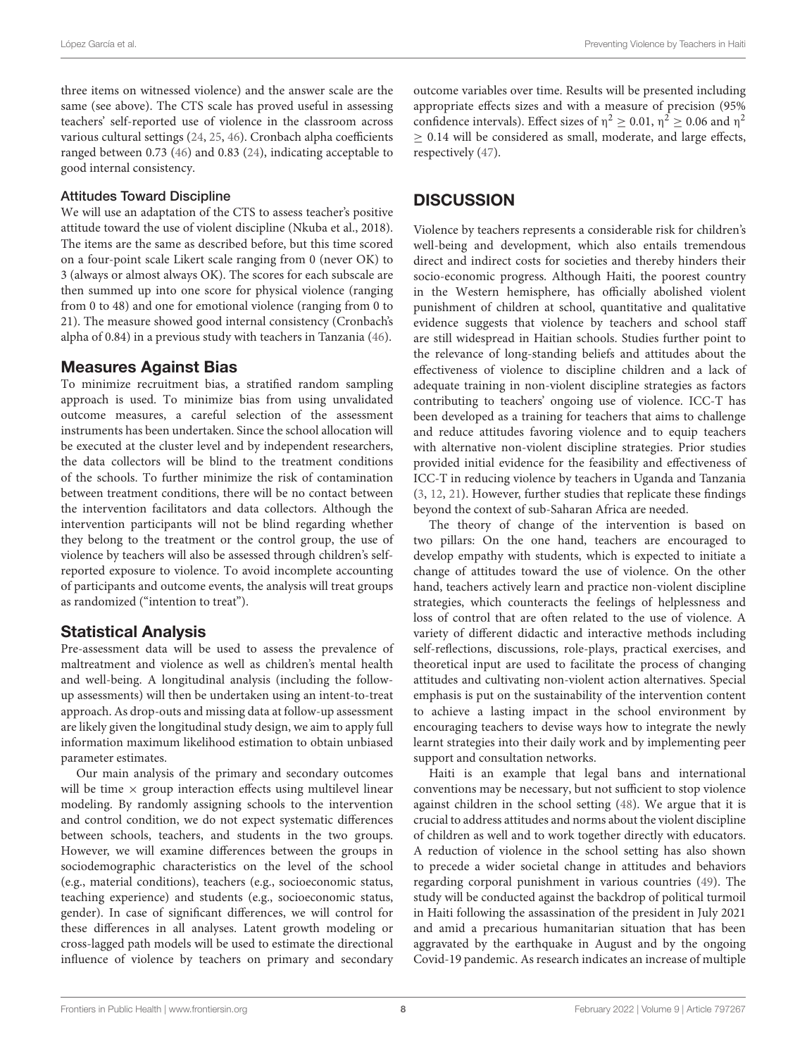three items on witnessed violence) and the answer scale are the same (see above). The CTS scale has proved useful in assessing teachers' self-reported use of violence in the classroom across various cultural settings [\(24,](#page-9-13) [25,](#page-9-14) [46\)](#page-10-0). Cronbach alpha coefficients ranged between 0.73 [\(46\)](#page-10-0) and 0.83 [\(24\)](#page-9-13), indicating acceptable to good internal consistency.

#### Attitudes Toward Discipline

We will use an adaptation of the CTS to assess teacher's positive attitude toward the use of violent discipline (Nkuba et al., 2018). The items are the same as described before, but this time scored on a four-point scale Likert scale ranging from 0 (never OK) to 3 (always or almost always OK). The scores for each subscale are then summed up into one score for physical violence (ranging from 0 to 48) and one for emotional violence (ranging from 0 to 21). The measure showed good internal consistency (Cronbach's alpha of 0.84) in a previous study with teachers in Tanzania [\(46\)](#page-10-0).

### Measures Against Bias

To minimize recruitment bias, a stratified random sampling approach is used. To minimize bias from using unvalidated outcome measures, a careful selection of the assessment instruments has been undertaken. Since the school allocation will be executed at the cluster level and by independent researchers, the data collectors will be blind to the treatment conditions of the schools. To further minimize the risk of contamination between treatment conditions, there will be no contact between the intervention facilitators and data collectors. Although the intervention participants will not be blind regarding whether they belong to the treatment or the control group, the use of violence by teachers will also be assessed through children's selfreported exposure to violence. To avoid incomplete accounting of participants and outcome events, the analysis will treat groups as randomized ("intention to treat").

### Statistical Analysis

Pre-assessment data will be used to assess the prevalence of maltreatment and violence as well as children's mental health and well-being. A longitudinal analysis (including the followup assessments) will then be undertaken using an intent-to-treat approach. As drop-outs and missing data at follow-up assessment are likely given the longitudinal study design, we aim to apply full information maximum likelihood estimation to obtain unbiased parameter estimates.

Our main analysis of the primary and secondary outcomes will be time  $\times$  group interaction effects using multilevel linear modeling. By randomly assigning schools to the intervention and control condition, we do not expect systematic differences between schools, teachers, and students in the two groups. However, we will examine differences between the groups in sociodemographic characteristics on the level of the school (e.g., material conditions), teachers (e.g., socioeconomic status, teaching experience) and students (e.g., socioeconomic status, gender). In case of significant differences, we will control for these differences in all analyses. Latent growth modeling or cross-lagged path models will be used to estimate the directional influence of violence by teachers on primary and secondary outcome variables over time. Results will be presented including appropriate effects sizes and with a measure of precision (95% confidence intervals). Effect sizes of  $\eta^2 \ge 0.01$ ,  $\eta^2 \ge 0.06$  and  $\eta^2$  $\geq$  0.14 will be considered as small, moderate, and large effects, respectively [\(47\)](#page-10-1).

### **DISCUSSION**

Violence by teachers represents a considerable risk for children's well-being and development, which also entails tremendous direct and indirect costs for societies and thereby hinders their socio-economic progress. Although Haiti, the poorest country in the Western hemisphere, has officially abolished violent punishment of children at school, quantitative and qualitative evidence suggests that violence by teachers and school staff are still widespread in Haitian schools. Studies further point to the relevance of long-standing beliefs and attitudes about the effectiveness of violence to discipline children and a lack of adequate training in non-violent discipline strategies as factors contributing to teachers' ongoing use of violence. ICC-T has been developed as a training for teachers that aims to challenge and reduce attitudes favoring violence and to equip teachers with alternative non-violent discipline strategies. Prior studies provided initial evidence for the feasibility and effectiveness of ICC-T in reducing violence by teachers in Uganda and Tanzania [\(3,](#page-8-2) [12,](#page-9-2) [21\)](#page-9-10). However, further studies that replicate these findings beyond the context of sub-Saharan Africa are needed.

The theory of change of the intervention is based on two pillars: On the one hand, teachers are encouraged to develop empathy with students, which is expected to initiate a change of attitudes toward the use of violence. On the other hand, teachers actively learn and practice non-violent discipline strategies, which counteracts the feelings of helplessness and loss of control that are often related to the use of violence. A variety of different didactic and interactive methods including self-reflections, discussions, role-plays, practical exercises, and theoretical input are used to facilitate the process of changing attitudes and cultivating non-violent action alternatives. Special emphasis is put on the sustainability of the intervention content to achieve a lasting impact in the school environment by encouraging teachers to devise ways how to integrate the newly learnt strategies into their daily work and by implementing peer support and consultation networks.

Haiti is an example that legal bans and international conventions may be necessary, but not sufficient to stop violence against children in the school setting [\(48\)](#page-10-2). We argue that it is crucial to address attitudes and norms about the violent discipline of children as well and to work together directly with educators. A reduction of violence in the school setting has also shown to precede a wider societal change in attitudes and behaviors regarding corporal punishment in various countries [\(49\)](#page-10-3). The study will be conducted against the backdrop of political turmoil in Haiti following the assassination of the president in July 2021 and amid a precarious humanitarian situation that has been aggravated by the earthquake in August and by the ongoing Covid-19 pandemic. As research indicates an increase of multiple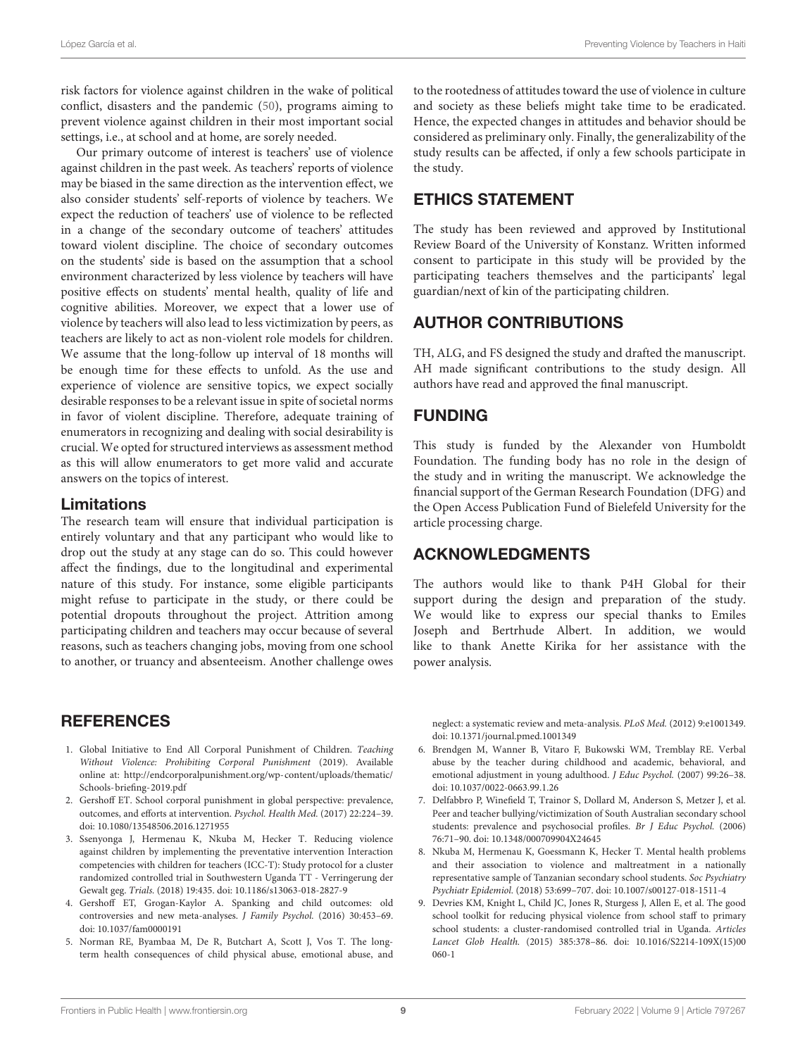risk factors for violence against children in the wake of political conflict, disasters and the pandemic [\(50\)](#page-10-4), programs aiming to prevent violence against children in their most important social settings, i.e., at school and at home, are sorely needed.

Our primary outcome of interest is teachers' use of violence against children in the past week. As teachers' reports of violence may be biased in the same direction as the intervention effect, we also consider students' self-reports of violence by teachers. We expect the reduction of teachers' use of violence to be reflected in a change of the secondary outcome of teachers' attitudes toward violent discipline. The choice of secondary outcomes on the students' side is based on the assumption that a school environment characterized by less violence by teachers will have positive effects on students' mental health, quality of life and cognitive abilities. Moreover, we expect that a lower use of violence by teachers will also lead to less victimization by peers, as teachers are likely to act as non-violent role models for children. We assume that the long-follow up interval of 18 months will be enough time for these effects to unfold. As the use and experience of violence are sensitive topics, we expect socially desirable responses to be a relevant issue in spite of societal norms in favor of violent discipline. Therefore, adequate training of enumerators in recognizing and dealing with social desirability is crucial. We opted for structured interviews as assessment method as this will allow enumerators to get more valid and accurate answers on the topics of interest.

### Limitations

The research team will ensure that individual participation is entirely voluntary and that any participant who would like to drop out the study at any stage can do so. This could however affect the findings, due to the longitudinal and experimental nature of this study. For instance, some eligible participants might refuse to participate in the study, or there could be potential dropouts throughout the project. Attrition among participating children and teachers may occur because of several reasons, such as teachers changing jobs, moving from one school to another, or truancy and absenteeism. Another challenge owes

# **REFERENCES**

- <span id="page-8-0"></span>1. Global Initiative to End All Corporal Punishment of Children. Teaching Without Violence: Prohibiting Corporal Punishment (2019). Available online at: [http://endcorporalpunishment.org/wp-content/uploads/thematic/](http://endcorporalpunishment.org/wp-content/uploads/thematic/Schools-briefing-2019.pdf) [Schools-briefing-2019.pdf](http://endcorporalpunishment.org/wp-content/uploads/thematic/Schools-briefing-2019.pdf)
- <span id="page-8-1"></span>2. Gershoff ET. School corporal punishment in global perspective: prevalence, outcomes, and efforts at intervention. Psychol. Health Med. (2017) 22:224–39. doi: [10.1080/13548506.2016.1271955](https://doi.org/10.1080/13548506.2016.1271955)
- <span id="page-8-2"></span>3. Ssenyonga J, Hermenau K, Nkuba M, Hecker T. Reducing violence against children by implementing the preventative intervention Interaction competencies with children for teachers (ICC-T): Study protocol for a cluster randomized controlled trial in Southwestern Uganda TT - Verringerung der Gewalt geg. Trials. (2018) 19:435. doi: [10.1186/s13063-018-2827-9](https://doi.org/10.1186/s13063-018-2827-9)
- <span id="page-8-3"></span>4. Gershoff ET, Grogan-Kaylor A. Spanking and child outcomes: old controversies and new meta-analyses. J Family Psychol. (2016) 30:453–69. doi: [10.1037/fam0000191](https://doi.org/10.1037/fam0000191)
- <span id="page-8-4"></span>5. Norman RE, Byambaa M, De R, Butchart A, Scott J, Vos T. The longterm health consequences of child physical abuse, emotional abuse, and

to the rootedness of attitudes toward the use of violence in culture and society as these beliefs might take time to be eradicated. Hence, the expected changes in attitudes and behavior should be considered as preliminary only. Finally, the generalizability of the study results can be affected, if only a few schools participate in the study.

# ETHICS STATEMENT

The study has been reviewed and approved by Institutional Review Board of the University of Konstanz. Written informed consent to participate in this study will be provided by the participating teachers themselves and the participants' legal guardian/next of kin of the participating children.

# AUTHOR CONTRIBUTIONS

TH, ALG, and FS designed the study and drafted the manuscript. AH made significant contributions to the study design. All authors have read and approved the final manuscript.

# FUNDING

This study is funded by the Alexander von Humboldt Foundation. The funding body has no role in the design of the study and in writing the manuscript. We acknowledge the financial support of the German Research Foundation (DFG) and the Open Access Publication Fund of Bielefeld University for the article processing charge.

# ACKNOWLEDGMENTS

The authors would like to thank P4H Global for their support during the design and preparation of the study. We would like to express our special thanks to Emiles Joseph and Bertrhude Albert. In addition, we would like to thank Anette Kirika for her assistance with the power analysis.

neglect: a systematic review and meta-analysis. PLoS Med. (2012) 9:e1001349. doi: [10.1371/journal.pmed.1001349](https://doi.org/10.1371/journal.pmed.1001349)

- <span id="page-8-5"></span>6. Brendgen M, Wanner B, Vitaro F, Bukowski WM, Tremblay RE. Verbal abuse by the teacher during childhood and academic, behavioral, and emotional adjustment in young adulthood. J Educ Psychol. (2007) 99:26–38. doi: [10.1037/0022-0663.99.1.26](https://doi.org/10.1037/0022-0663.99.1.26)
- 7. Delfabbro P, Winefield T, Trainor S, Dollard M, Anderson S, Metzer J, et al. Peer and teacher bullying/victimization of South Australian secondary school students: prevalence and psychosocial profiles. Br J Educ Psychol. (2006) 76:71–90. doi: [10.1348/000709904X24645](https://doi.org/10.1348/000709904X24645)
- <span id="page-8-6"></span>8. Nkuba M, Hermenau K, Goessmann K, Hecker T. Mental health problems and their association to violence and maltreatment in a nationally representative sample of Tanzanian secondary school students. Soc Psychiatry Psychiatr Epidemiol. (2018) 53:699–707. doi: [10.1007/s00127-018-1511-4](https://doi.org/10.1007/s00127-018-1511-4)
- <span id="page-8-7"></span>9. Devries KM, Knight L, Child JC, Jones R, Sturgess J, Allen E, et al. The good school toolkit for reducing physical violence from school staff to primary school students: a cluster-randomised controlled trial in Uganda. Articles Lancet Glob Health. [\(2015\) 385:378–86. doi: 10.1016/S2214-109X\(15\)00](https://doi.org/10.1016/S2214-109X(15)00060-1) 060-1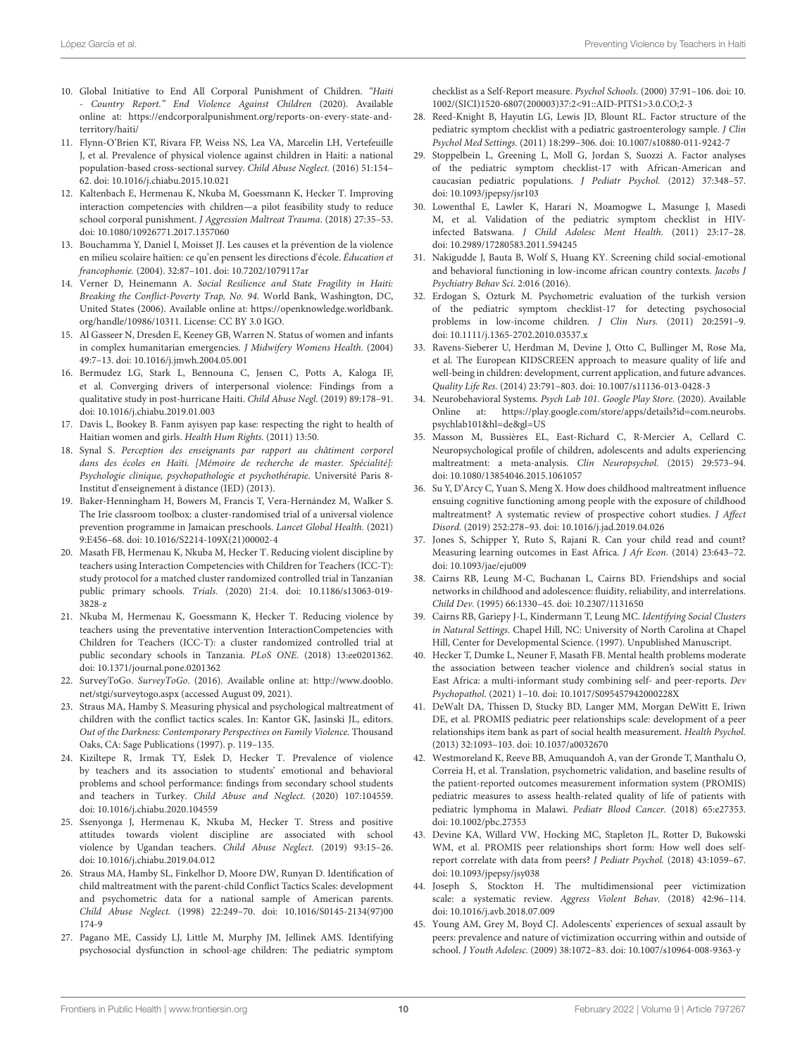- <span id="page-9-0"></span>10. Global Initiative to End All Corporal Punishment of Children. "Haiti - Country Report." End Violence Against Children (2020). Available online at: [https://endcorporalpunishment.org/reports-on-every-state-and](https://endcorporalpunishment.org/reports-on-every-state-and-territory/haiti/)[territory/haiti/](https://endcorporalpunishment.org/reports-on-every-state-and-territory/haiti/)
- <span id="page-9-1"></span>11. Flynn-O'Brien KT, Rivara FP, Weiss NS, Lea VA, Marcelin LH, Vertefeuille J, et al. Prevalence of physical violence against children in Haiti: a national population-based cross-sectional survey. Child Abuse Neglect. (2016) 51:154– 62. doi: [10.1016/j.chiabu.2015.10.021](https://doi.org/10.1016/j.chiabu.2015.10.021)
- <span id="page-9-2"></span>12. Kaltenbach E, Hermenau K, Nkuba M, Goessmann K, Hecker T. Improving interaction competencies with children—a pilot feasibility study to reduce school corporal punishment. J Aggression Maltreat Trauma. (2018) 27:35–53. doi: [10.1080/10926771.2017.1357060](https://doi.org/10.1080/10926771.2017.1357060)
- <span id="page-9-3"></span>13. Bouchamma Y, Daniel I, Moisset JJ. Les causes et la prévention de la violence en milieu scolaire haïtien: ce qu'en pensent les directions d'école. Éducation et francophonie. (2004). 32:87–101. doi: [10.7202/1079117ar](https://doi.org/10.7202/1079117ar)
- <span id="page-9-4"></span>14. Verner D, Heinemann A. Social Resilience and State Fragility in Haiti: Breaking the Conflict-Poverty Trap, No. 94. World Bank, Washington, DC, United States (2006). Available online at: [https://openknowledge.worldbank.](https://openknowledge.worldbank.org/handle/10986/10311) [org/handle/10986/10311.](https://openknowledge.worldbank.org/handle/10986/10311) License: CC BY 3.0 IGO.
- <span id="page-9-5"></span>15. Al Gasseer N, Dresden E, Keeney GB, Warren N. Status of women and infants in complex humanitarian emergencies. J Midwifery Womens Health. (2004) 49:7–13. doi: [10.1016/j.jmwh.2004.05.001](https://doi.org/10.1016/j.jmwh.2004.05.001)
- 16. Bermudez LG, Stark L, Bennouna C, Jensen C, Potts A, Kaloga IF, et al. Converging drivers of interpersonal violence: Findings from a qualitative study in post-hurricane Haiti. Child Abuse Negl. (2019) 89:178–91. doi: [10.1016/j.chiabu.2019.01.003](https://doi.org/10.1016/j.chiabu.2019.01.003)
- <span id="page-9-6"></span>17. Davis L, Bookey B. Fanm ayisyen pap kase: respecting the right to health of Haitian women and girls. Health Hum Rights. (2011) 13:50.
- <span id="page-9-7"></span>18. Synal S. Perception des enseignants par rapport au châtiment corporel dans des écoles en Haïti. [Mémoire de recherche de master. Spécialité]: Psychologie clinique, psychopathologie et psychothérapie. Université Paris 8- Institut d'enseignement à distance (IED) (2013).
- <span id="page-9-8"></span>19. Baker-Henningham H, Bowers M, Francis T, Vera-Hernández M, Walker S. The Irie classroom toolbox: a cluster-randomised trial of a universal violence prevention programme in Jamaican preschools. Lancet Global Health. (2021) 9:E456–68. doi: [10.1016/S2214-109X\(21\)00002-4](https://doi.org/10.1016/S2214-109X(21)00002-4)
- <span id="page-9-9"></span>20. Masath FB, Hermenau K, Nkuba M, Hecker T. Reducing violent discipline by teachers using Interaction Competencies with Children for Teachers (ICC-T): study protocol for a matched cluster randomized controlled trial in Tanzanian public primary schools. Trials. [\(2020\) 21:4. doi: 10.1186/s13063-019-](https://doi.org/10.1186/s13063-019-3828-z) 3828-z
- <span id="page-9-10"></span>21. Nkuba M, Hermenau K, Goessmann K, Hecker T. Reducing violence by teachers using the preventative intervention InteractionCompetencies with Children for Teachers (ICC-T): a cluster randomized controlled trial at public secondary schools in Tanzania. PLoS ONE. (2018) 13:ee0201362. doi: [10.1371/journal.pone.0201362](https://doi.org/10.1371/journal.pone.0201362)
- <span id="page-9-11"></span>22. SurveyToGo. SurveyToGo. (2016). Available online at: [http://www.dooblo.](http://www.dooblo.net/stgi/surveytogo.aspx) [net/stgi/surveytogo.aspx](http://www.dooblo.net/stgi/surveytogo.aspx) (accessed August 09, 2021).
- <span id="page-9-12"></span>23. Straus MA, Hamby S. Measuring physical and psychological maltreatment of children with the conflict tactics scales. In: Kantor GK, Jasinski JL, editors. Out of the Darkness: Contemporary Perspectives on Family Violence. Thousand Oaks, CA: Sage Publications (1997). p. 119–135.
- <span id="page-9-13"></span>24. Kiziltepe R, Irmak TY, Eslek D, Hecker T. Prevalence of violence by teachers and its association to students' emotional and behavioral problems and school performance: findings from secondary school students and teachers in Turkey. Child Abuse and Neglect. (2020) 107:104559. doi: [10.1016/j.chiabu.2020.104559](https://doi.org/10.1016/j.chiabu.2020.104559)
- <span id="page-9-14"></span>25. Ssenyonga J, Hermenau K, Nkuba M, Hecker T. Stress and positive attitudes towards violent discipline are associated with school violence by Ugandan teachers. Child Abuse Neglect. (2019) 93:15–26. doi: [10.1016/j.chiabu.2019.04.012](https://doi.org/10.1016/j.chiabu.2019.04.012)
- <span id="page-9-15"></span>26. Straus MA, Hamby SL, Finkelhor D, Moore DW, Runyan D. Identification of child maltreatment with the parent-child Conflict Tactics Scales: development and psychometric data for a national sample of American parents. Child Abuse Neglect. [\(1998\) 22:249–70. doi: 10.1016/S0145-2134\(97\)00](https://doi.org/10.1016/S0145-2134(97)00174-9) 174-9
- <span id="page-9-16"></span>27. Pagano ME, Cassidy LJ, Little M, Murphy JM, Jellinek AMS. Identifying psychosocial dysfunction in school-age children: The pediatric symptom

checklist as a Self-Report measure. Psychol Schools. (2000) 37:91–106. doi: 10. [1002/\(SICI\)1520-6807\(200003\)37:2<91::AID-PITS1>3.0.CO;2-3](https://doi.org/10.1002/(SICI)1520-6807(200003)37:2<91::AID-PITS1>3.0.CO;2-3)

- <span id="page-9-17"></span>28. Reed-Knight B, Hayutin LG, Lewis JD, Blount RL. Factor structure of the pediatric symptom checklist with a pediatric gastroenterology sample. J Clin Psychol Med Settings. (2011) 18:299–306. doi: [10.1007/s10880-011-9242-7](https://doi.org/10.1007/s10880-011-9242-7)
- <span id="page-9-18"></span>29. Stoppelbein L, Greening L, Moll G, Jordan S, Suozzi A. Factor analyses of the pediatric symptom checklist-17 with African-American and caucasian pediatric populations. J Pediatr Psychol. (2012) 37:348–57. doi: [10.1093/jpepsy/jsr103](https://doi.org/10.1093/jpepsy/jsr103)
- <span id="page-9-19"></span>30. Lowenthal E, Lawler K, Harari N, Moamogwe L, Masunge J, Masedi M, et al. Validation of the pediatric symptom checklist in HIVinfected Batswana. J Child Adolesc Ment Health. (2011) 23:17–28. doi: [10.2989/17280583.2011.594245](https://doi.org/10.2989/17280583.2011.594245)
- <span id="page-9-20"></span>31. Nakigudde J, Bauta B, Wolf S, Huang KY. Screening child social-emotional and behavioral functioning in low-income african country contexts. Jacobs J Psychiatry Behav Sci. 2:016 (2016).
- <span id="page-9-21"></span>32. Erdogan S, Ozturk M. Psychometric evaluation of the turkish version of the pediatric symptom checklist-17 for detecting psychosocial problems in low-income children. J Clin Nurs. (2011) 20:2591–9. doi: [10.1111/j.1365-2702.2010.03537.x](https://doi.org/10.1111/j.1365-2702.2010.03537.x)
- <span id="page-9-22"></span>33. Ravens-Sieberer U, Herdman M, Devine J, Otto C, Bullinger M, Rose Ma, et al. The European KIDSCREEN approach to measure quality of life and well-being in children: development, current application, and future advances. Quality Life Res. (2014) 23:791–803. doi: [10.1007/s11136-013-0428-3](https://doi.org/10.1007/s11136-013-0428-3)
- <span id="page-9-23"></span>34. Neurobehavioral Systems. Psych Lab 101. Google Play Store. (2020). Available Online at: [https://play.google.com/store/apps/details?id=com.neurobs.](https://play.google.com/store/apps/details?id=com.neurobs.psychlab101&hl=de&gl=US) [psychlab101&hl=de&gl=US](https://play.google.com/store/apps/details?id=com.neurobs.psychlab101&hl=de&gl=US)
- <span id="page-9-24"></span>35. Masson M, Bussières EL, East-Richard C, R-Mercier A, Cellard C. Neuropsychological profile of children, adolescents and adults experiencing maltreatment: a meta-analysis. Clin Neuropsychol. (2015) 29:573–94. doi: [10.1080/13854046.2015.1061057](https://doi.org/10.1080/13854046.2015.1061057)
- <span id="page-9-25"></span>36. Su Y, D'Arcy C, Yuan S, Meng X. How does childhood maltreatment influence ensuing cognitive functioning among people with the exposure of childhood maltreatment? A systematic review of prospective cohort studies. J Affect Disord. (2019) 252:278–93. doi: [10.1016/j.jad.2019.04.026](https://doi.org/10.1016/j.jad.2019.04.026)
- <span id="page-9-26"></span>37. Jones S, Schipper Y, Ruto S, Rajani R. Can your child read and count? Measuring learning outcomes in East Africa. J Afr Econ. (2014) 23:643–72. doi: [10.1093/jae/eju009](https://doi.org/10.1093/jae/eju009)
- <span id="page-9-27"></span>38. Cairns RB, Leung M-C, Buchanan L, Cairns BD. Friendships and social networks in childhood and adolescence: fluidity, reliability, and interrelations. Child Dev. (1995) 66:1330–45. doi: [10.2307/1131650](https://doi.org/10.2307/1131650)
- <span id="page-9-28"></span>39. Cairns RB, Gariepy J-L, Kindermann T, Leung MC. Identifying Social Clusters in Natural Settings. Chapel Hill, NC: University of North Carolina at Chapel Hill, Center for Developmental Science. (1997). Unpublished Manuscript.
- <span id="page-9-29"></span>40. Hecker T, Dumke L, Neuner F, Masath FB. Mental health problems moderate the association between teacher violence and children's social status in East Africa: a multi-informant study combining self- and peer-reports. Dev Psychopathol. (2021) 1–10. doi: [10.1017/S095457942000228X](https://doi.org/10.1017/S095457942000228X)
- <span id="page-9-30"></span>41. DeWalt DA, Thissen D, Stucky BD, Langer MM, Morgan DeWitt E, Iriwn DE, et al. PROMIS pediatric peer relationships scale: development of a peer relationships item bank as part of social health measurement. Health Psychol. (2013) 32:1093–103. doi: [10.1037/a0032670](https://doi.org/10.1037/a0032670)
- <span id="page-9-31"></span>42. Westmoreland K, Reeve BB, Amuquandoh A, van der Gronde T, Manthalu O, Correia H, et al. Translation, psychometric validation, and baseline results of the patient-reported outcomes measurement information system (PROMIS) pediatric measures to assess health-related quality of life of patients with pediatric lymphoma in Malawi. Pediatr Blood Cancer. (2018) 65:e27353. doi: [10.1002/pbc.27353](https://doi.org/10.1002/pbc.27353)
- <span id="page-9-32"></span>43. Devine KA, Willard VW, Hocking MC, Stapleton JL, Rotter D, Bukowski WM, et al. PROMIS peer relationships short form: How well does selfreport correlate with data from peers? J Pediatr Psychol. (2018) 43:1059–67. doi: [10.1093/jpepsy/jsy038](https://doi.org/10.1093/jpepsy/jsy038)
- <span id="page-9-33"></span>44. Joseph S, Stockton H. The multidimensional peer victimization scale: a systematic review. Aggress Violent Behav. (2018) 42:96–114. doi: [10.1016/j.avb.2018.07.009](https://doi.org/10.1016/j.avb.2018.07.009)
- <span id="page-9-34"></span>45. Young AM, Grey M, Boyd CJ. Adolescents' experiences of sexual assault by peers: prevalence and nature of victimization occurring within and outside of school. J Youth Adolesc. (2009) 38:1072–83. doi: [10.1007/s10964-008-9363-y](https://doi.org/10.1007/s10964-008-9363-y)